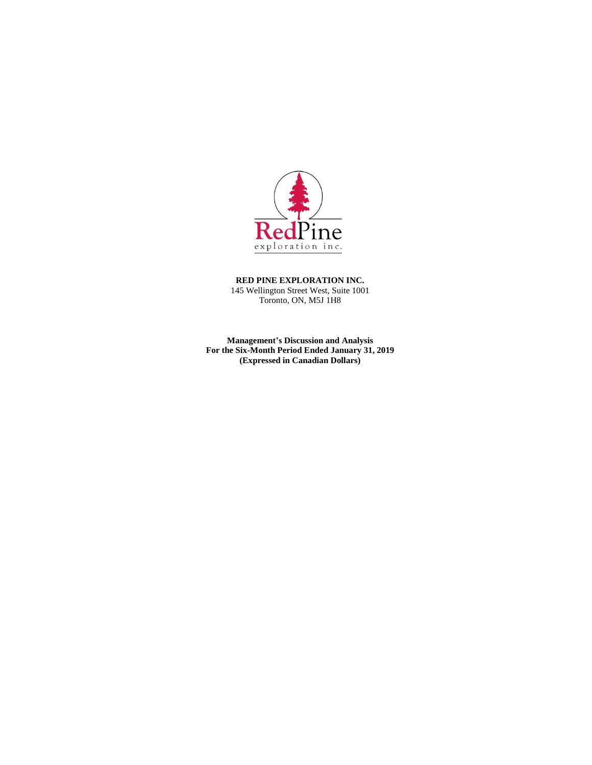

**RED PINE EXPLORATION INC.** 145 Wellington Street West, Suite 1001 Toronto, ON, M5J 1H8

**Management's Discussion and Analysis For the Six-Month Period Ended January 31, 2019 (Expressed in Canadian Dollars)**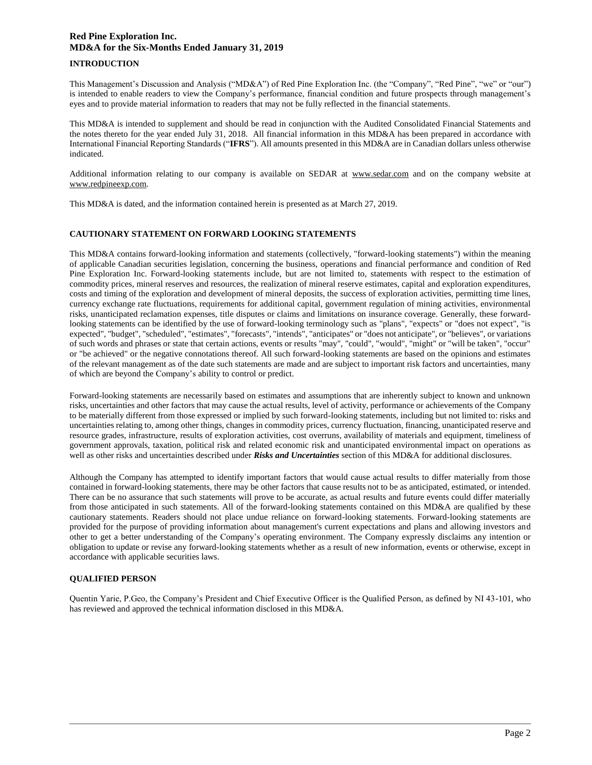### **INTRODUCTION**

This Management's Discussion and Analysis ("MD&A") of Red Pine Exploration Inc. (the "Company", "Red Pine", "we" or "our") is intended to enable readers to view the Company's performance, financial condition and future prospects through management's eyes and to provide material information to readers that may not be fully reflected in the financial statements.

This MD&A is intended to supplement and should be read in conjunction with the Audited Consolidated Financial Statements and the notes thereto for the year ended July 31, 2018. All financial information in this MD&A has been prepared in accordance with International Financial Reporting Standards ("**IFRS**"). All amounts presented in this MD&A are in Canadian dollars unless otherwise indicated.

Additional information relating to our company is available on SEDAR at www.sedar.com and on the company website at www.redpineexp.com.

This MD&A is dated, and the information contained herein is presented as at March 27, 2019.

### **CAUTIONARY STATEMENT ON FORWARD LOOKING STATEMENTS**

This MD&A contains forward-looking information and statements (collectively, "forward-looking statements") within the meaning of applicable Canadian securities legislation, concerning the business, operations and financial performance and condition of Red Pine Exploration Inc. Forward-looking statements include, but are not limited to, statements with respect to the estimation of commodity prices, mineral reserves and resources, the realization of mineral reserve estimates, capital and exploration expenditures, costs and timing of the exploration and development of mineral deposits, the success of exploration activities, permitting time lines, currency exchange rate fluctuations, requirements for additional capital, government regulation of mining activities, environmental risks, unanticipated reclamation expenses, title disputes or claims and limitations on insurance coverage. Generally, these forwardlooking statements can be identified by the use of forward-looking terminology such as "plans", "expects" or "does not expect", "is expected", "budget", "scheduled", "estimates", "forecasts", "intends", "anticipates" or "does not anticipate", or "believes", or variations of such words and phrases or state that certain actions, events or results "may", "could", "would", "might" or "will be taken", "occur" or "be achieved" or the negative connotations thereof. All such forward-looking statements are based on the opinions and estimates of the relevant management as of the date such statements are made and are subject to important risk factors and uncertainties, many of which are beyond the Company's ability to control or predict.

Forward-looking statements are necessarily based on estimates and assumptions that are inherently subject to known and unknown risks, uncertainties and other factors that may cause the actual results, level of activity, performance or achievements of the Company to be materially different from those expressed or implied by such forward-looking statements, including but not limited to: risks and uncertainties relating to, among other things, changes in commodity prices, currency fluctuation, financing, unanticipated reserve and resource grades, infrastructure, results of exploration activities, cost overruns, availability of materials and equipment, timeliness of government approvals, taxation, political risk and related economic risk and unanticipated environmental impact on operations as well as other risks and uncertainties described under *Risks and Uncertainties* section of this MD&A for additional disclosures.

Although the Company has attempted to identify important factors that would cause actual results to differ materially from those contained in forward-looking statements, there may be other factors that cause results not to be as anticipated, estimated, or intended. There can be no assurance that such statements will prove to be accurate, as actual results and future events could differ materially from those anticipated in such statements. All of the forward-looking statements contained on this MD&A are qualified by these cautionary statements. Readers should not place undue reliance on forward-looking statements. Forward-looking statements are provided for the purpose of providing information about management's current expectations and plans and allowing investors and other to get a better understanding of the Company's operating environment. The Company expressly disclaims any intention or obligation to update or revise any forward-looking statements whether as a result of new information, events or otherwise, except in accordance with applicable securities laws.

#### **QUALIFIED PERSON**

Quentin Yarie, P.Geo, the Company's President and Chief Executive Officer is the Qualified Person, as defined by NI 43-101, who has reviewed and approved the technical information disclosed in this MD&A.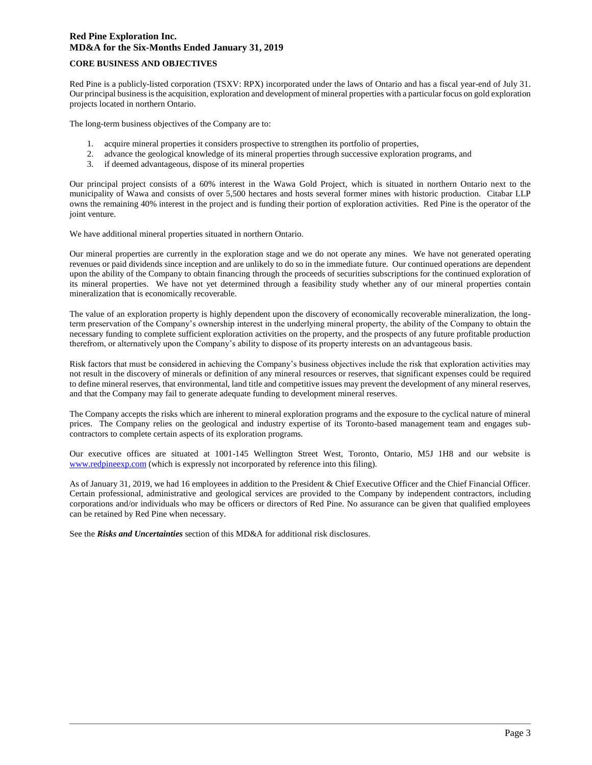### **CORE BUSINESS AND OBJECTIVES**

Red Pine is a publicly-listed corporation (TSXV: RPX) incorporated under the laws of Ontario and has a fiscal year-end of July 31. Our principal business is the acquisition, exploration and development of mineral properties with a particular focus on gold exploration projects located in northern Ontario.

The long-term business objectives of the Company are to:

- 1. acquire mineral properties it considers prospective to strengthen its portfolio of properties,
- 2. advance the geological knowledge of its mineral properties through successive exploration programs, and
- 3. if deemed advantageous, dispose of its mineral properties

Our principal project consists of a 60% interest in the Wawa Gold Project, which is situated in northern Ontario next to the municipality of Wawa and consists of over 5,500 hectares and hosts several former mines with historic production. Citabar LLP owns the remaining 40% interest in the project and is funding their portion of exploration activities. Red Pine is the operator of the joint venture.

We have additional mineral properties situated in northern Ontario.

Our mineral properties are currently in the exploration stage and we do not operate any mines. We have not generated operating revenues or paid dividends since inception and are unlikely to do so in the immediate future. Our continued operations are dependent upon the ability of the Company to obtain financing through the proceeds of securities subscriptions for the continued exploration of its mineral properties. We have not yet determined through a feasibility study whether any of our mineral properties contain mineralization that is economically recoverable.

The value of an exploration property is highly dependent upon the discovery of economically recoverable mineralization, the longterm preservation of the Company's ownership interest in the underlying mineral property, the ability of the Company to obtain the necessary funding to complete sufficient exploration activities on the property, and the prospects of any future profitable production therefrom, or alternatively upon the Company's ability to dispose of its property interests on an advantageous basis.

Risk factors that must be considered in achieving the Company's business objectives include the risk that exploration activities may not result in the discovery of minerals or definition of any mineral resources or reserves, that significant expenses could be required to define mineral reserves, that environmental, land title and competitive issues may prevent the development of any mineral reserves, and that the Company may fail to generate adequate funding to development mineral reserves.

The Company accepts the risks which are inherent to mineral exploration programs and the exposure to the cyclical nature of mineral prices. The Company relies on the geological and industry expertise of its Toronto-based management team and engages subcontractors to complete certain aspects of its exploration programs.

Our executive offices are situated at 1001-145 Wellington Street West, Toronto, Ontario, M5J 1H8 and our website is [www.redpineexp.com](http://www.redpineexp.com/) (which is expressly not incorporated by reference into this filing).

As of January 31, 2019, we had 16 employees in addition to the President & Chief Executive Officer and the Chief Financial Officer. Certain professional, administrative and geological services are provided to the Company by independent contractors, including corporations and/or individuals who may be officers or directors of Red Pine. No assurance can be given that qualified employees can be retained by Red Pine when necessary.

See the *Risks and Uncertainties* section of this MD&A for additional risk disclosures.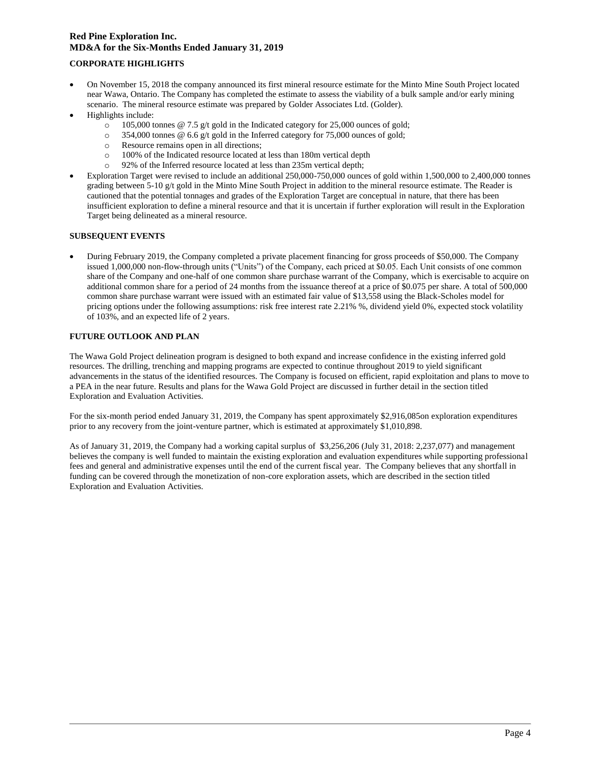# **CORPORATE HIGHLIGHTS**

- On November 15, 2018 the company announced its first mineral resource estimate for the Minto Mine South Project located near Wawa, Ontario. The Company has completed the estimate to assess the viability of a bulk sample and/or early mining scenario. The mineral resource estimate was prepared by Golder Associates Ltd. (Golder).
- Highlights include:
	- o 105,000 tonnes @ 7.5 g/t gold in the Indicated category for 25,000 ounces of gold;
	- o 354,000 tonnes @ 6.6 g/t gold in the Inferred category for 75,000 ounces of gold;
	- o Resource remains open in all directions;
	- o 100% of the Indicated resource located at less than 180m vertical depth
	- o 92% of the Inferred resource located at less than 235m vertical depth;
- Exploration Target were revised to include an additional 250,000-750,000 ounces of gold within 1,500,000 to 2,400,000 tonnes grading between 5-10 g/t gold in the Minto Mine South Project in addition to the mineral resource estimate. The Reader is cautioned that the potential tonnages and grades of the Exploration Target are conceptual in nature, that there has been insufficient exploration to define a mineral resource and that it is uncertain if further exploration will result in the Exploration Target being delineated as a mineral resource.

### **SUBSEQUENT EVENTS**

• During February 2019, the Company completed a private placement financing for gross proceeds of \$50,000. The Company issued 1,000,000 non-flow-through units ("Units") of the Company, each priced at \$0.05. Each Unit consists of one common share of the Company and one-half of one common share purchase warrant of the Company, which is exercisable to acquire on additional common share for a period of 24 months from the issuance thereof at a price of \$0.075 per share. A total of 500,000 common share purchase warrant were issued with an estimated fair value of \$13,558 using the Black-Scholes model for pricing options under the following assumptions: risk free interest rate 2.21% %, dividend yield 0%, expected stock volatility of 103%, and an expected life of 2 years.

### **FUTURE OUTLOOK AND PLAN**

The Wawa Gold Project delineation program is designed to both expand and increase confidence in the existing inferred gold resources. The drilling, trenching and mapping programs are expected to continue throughout 2019 to yield significant advancements in the status of the identified resources. The Company is focused on efficient, rapid exploitation and plans to move to a PEA in the near future. Results and plans for the Wawa Gold Project are discussed in further detail in the section titled Exploration and Evaluation Activities.

For the six-month period ended January 31, 2019, the Company has spent approximately \$2,916,085on exploration expenditures prior to any recovery from the joint-venture partner, which is estimated at approximately \$1,010,898.

As of January 31, 2019, the Company had a working capital surplus of \$3,256,206 (July 31, 2018: 2,237,077) and management believes the company is well funded to maintain the existing exploration and evaluation expenditures while supporting professional fees and general and administrative expenses until the end of the current fiscal year. The Company believes that any shortfall in funding can be covered through the monetization of non-core exploration assets, which are described in the section titled Exploration and Evaluation Activities.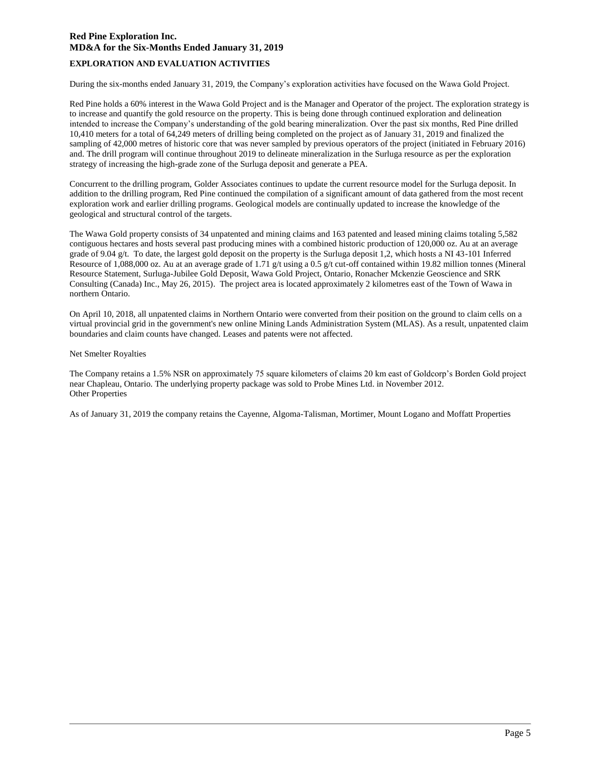## **EXPLORATION AND EVALUATION ACTIVITIES**

During the six-months ended January 31, 2019, the Company's exploration activities have focused on the Wawa Gold Project.

Red Pine holds a 60% interest in the Wawa Gold Project and is the Manager and Operator of the project. The exploration strategy is to increase and quantify the gold resource on the property. This is being done through continued exploration and delineation intended to increase the Company's understanding of the gold bearing mineralization. Over the past six months, Red Pine drilled 10,410 meters for a total of 64,249 meters of drilling being completed on the project as of January 31, 2019 and finalized the sampling of 42,000 metres of historic core that was never sampled by previous operators of the project (initiated in February 2016) and. The drill program will continue throughout 2019 to delineate mineralization in the Surluga resource as per the exploration strategy of increasing the high-grade zone of the Surluga deposit and generate a PEA.

Concurrent to the drilling program, Golder Associates continues to update the current resource model for the Surluga deposit. In addition to the drilling program, Red Pine continued the compilation of a significant amount of data gathered from the most recent exploration work and earlier drilling programs. Geological models are continually updated to increase the knowledge of the geological and structural control of the targets.

The Wawa Gold property consists of 34 unpatented and mining claims and 163 patented and leased mining claims totaling 5,582 contiguous hectares and hosts several past producing mines with a combined historic production of 120,000 oz. Au at an average grade of 9.04 g/t. To date, the largest gold deposit on the property is the Surluga deposit 1,2, which hosts a NI 43-101 Inferred Resource of 1,088,000 oz. Au at an average grade of 1.71 g/t using a 0.5 g/t cut-off contained within 19.82 million tonnes (Mineral Resource Statement, Surluga-Jubilee Gold Deposit, Wawa Gold Project, Ontario, Ronacher Mckenzie Geoscience and SRK Consulting (Canada) Inc., May 26, 2015). The project area is located approximately 2 kilometres east of the Town of Wawa in northern Ontario.

On April 10, 2018, all unpatented claims in Northern Ontario were converted from their position on the ground to claim cells on a virtual provincial grid in the government's new online Mining Lands Administration System (MLAS). As a result, unpatented claim boundaries and claim counts have changed. Leases and patents were not affected.

#### Net Smelter Royalties

The Company retains a 1.5% NSR on approximately 75 square kilometers of claims 20 km east of Goldcorp's Borden Gold project near Chapleau, Ontario. The underlying property package was sold to Probe Mines Ltd. in November 2012. Other Properties

As of January 31, 2019 the company retains the Cayenne, Algoma-Talisman, Mortimer, Mount Logano and Moffatt Properties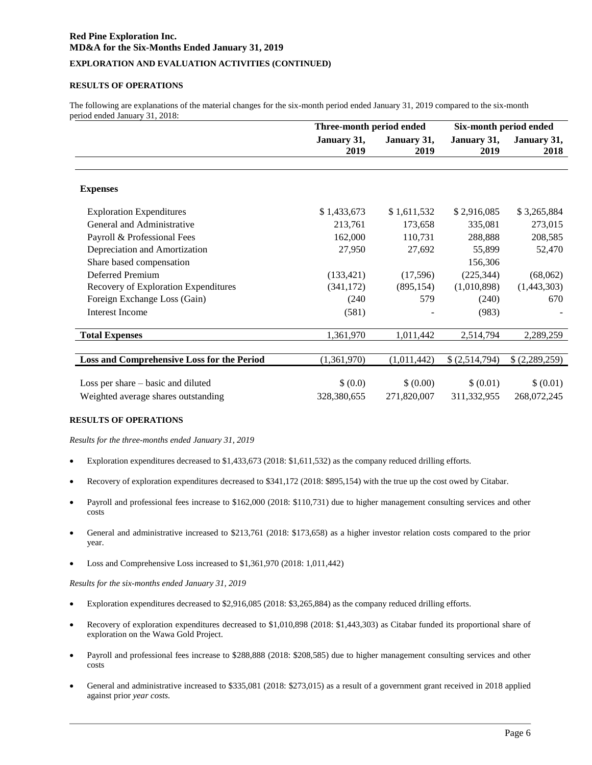#### **EXPLORATION AND EVALUATION ACTIVITIES (CONTINUED)**

### **RESULTS OF OPERATIONS**

The following are explanations of the material changes for the six-month period ended January 31, 2019 compared to the six-month period ended January 31, 2018:

|                                                   | Three-month period ended |                     |                     | Six-month period ended |
|---------------------------------------------------|--------------------------|---------------------|---------------------|------------------------|
|                                                   | January 31,<br>2019      | January 31,<br>2019 | January 31,<br>2019 | January 31,<br>2018    |
|                                                   |                          |                     |                     |                        |
| <b>Expenses</b>                                   |                          |                     |                     |                        |
| <b>Exploration Expenditures</b>                   | \$1,433,673              | \$1,611,532         | \$2,916,085         | \$3,265,884            |
| General and Administrative                        | 213,761                  | 173,658             | 335,081             | 273,015                |
| Payroll & Professional Fees                       | 162,000                  | 110,731             | 288,888             | 208,585                |
| Depreciation and Amortization                     | 27,950                   | 27,692              | 55,899              | 52,470                 |
| Share based compensation                          |                          |                     | 156,306             |                        |
| Deferred Premium                                  | (133, 421)               | (17,596)            | (225, 344)          | (68,062)               |
| Recovery of Exploration Expenditures              | (341, 172)               | (895, 154)          | (1,010,898)         | (1,443,303)            |
| Foreign Exchange Loss (Gain)                      | (240)                    | 579                 | (240)               | 670                    |
| Interest Income                                   | (581)                    |                     | (983)               |                        |
| <b>Total Expenses</b>                             | 1,361,970                | 1,011,442           | 2,514,794           | 2,289,259              |
| <b>Loss and Comprehensive Loss for the Period</b> | (1,361,970)              | (1,011,442)         | \$(2,514,794)       | \$(2,289,259)          |
|                                                   |                          |                     |                     |                        |
| Loss per share $-$ basic and diluted              | \$ (0.0)                 | \$ (0.00)           | \$ (0.01)           | \$ (0.01)              |
| Weighted average shares outstanding               | 328,380,655              | 271,820,007         | 311,332,955         | 268,072,245            |

#### **RESULTS OF OPERATIONS**

*Results for the three-months ended January 31, 2019*

- Exploration expenditures decreased to \$1,433,673 (2018: \$1,611,532) as the company reduced drilling efforts.
- Recovery of exploration expenditures decreased to \$341,172 (2018: \$895,154) with the true up the cost owed by Citabar.
- Payroll and professional fees increase to \$162,000 (2018: \$110,731) due to higher management consulting services and other costs
- General and administrative increased to \$213,761 (2018: \$173,658) as a higher investor relation costs compared to the prior year.
- Loss and Comprehensive Loss increased to \$1,361,970 (2018: 1,011,442)

*Results for the six-months ended January 31, 2019*

- Exploration expenditures decreased to \$2,916,085 (2018: \$3,265,884) as the company reduced drilling efforts.
- Recovery of exploration expenditures decreased to \$1,010,898 (2018: \$1,443,303) as Citabar funded its proportional share of exploration on the Wawa Gold Project.
- Payroll and professional fees increase to \$288,888 (2018: \$208,585) due to higher management consulting services and other costs
- General and administrative increased to \$335,081 (2018: \$273,015) as a result of a government grant received in 2018 applied against prior *year costs.*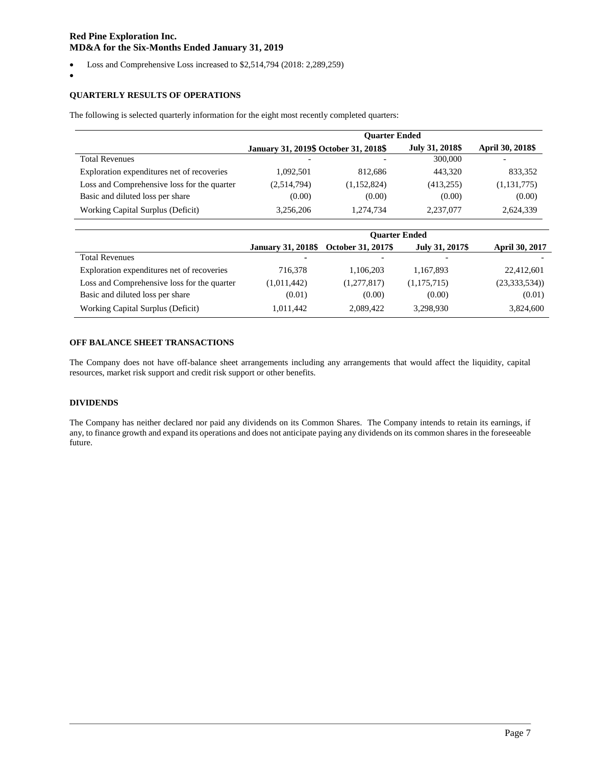- Loss and Comprehensive Loss increased to \$2,514,794 (2018: 2,289,259)
- •

## **QUARTERLY RESULTS OF OPERATIONS**

The following is selected quarterly information for the eight most recently completed quarters:

|                                             | <b>Ouarter Ended</b>                  |             |                 |                  |
|---------------------------------------------|---------------------------------------|-------------|-----------------|------------------|
|                                             | January 31, 2019\$ October 31, 2018\$ |             | July 31, 2018\$ | April 30, 2018\$ |
| <b>Total Revenues</b>                       | $\overline{\phantom{0}}$              |             | 300,000         |                  |
| Exploration expenditures net of recoveries  | 1,092,501                             | 812.686     | 443.320         | 833,352          |
| Loss and Comprehensive loss for the quarter | (2,514,794)                           | (1,152,824) | (413, 255)      | (1, 131, 775)    |
| Basic and diluted loss per share            | (0.00)                                | (0.00)      | (0.00)          | (0.00)           |
| Working Capital Surplus (Deficit)           | 3,256,206                             | 1,274,734   | 2,237,077       | 2,624,339        |

|                                             | <b>Ouarter Ended</b> |                                       |                          |                       |
|---------------------------------------------|----------------------|---------------------------------------|--------------------------|-----------------------|
|                                             |                      | January 31, 2018\$ October 31, 2017\$ | July 31, 2017\$          | <b>April 30, 2017</b> |
| <b>Total Revenues</b>                       | ٠                    | $\overline{\phantom{0}}$              | $\overline{\phantom{0}}$ |                       |
| Exploration expenditures net of recoveries  | 716.378              | 1,106,203                             | 1,167,893                | 22,412,601            |
| Loss and Comprehensive loss for the quarter | (1,011,442)          | (1,277,817)                           | (1,175,715)              | (23,333,534)          |
| Basic and diluted loss per share            | (0.01)               | (0.00)                                | (0.00)                   | (0.01)                |
| Working Capital Surplus (Deficit)           | 1,011,442            | 2,089,422                             | 3,298,930                | 3,824,600             |

#### **OFF BALANCE SHEET TRANSACTIONS**

The Company does not have off-balance sheet arrangements including any arrangements that would affect the liquidity, capital resources, market risk support and credit risk support or other benefits.

#### **DIVIDENDS**

The Company has neither declared nor paid any dividends on its Common Shares. The Company intends to retain its earnings, if any, to finance growth and expand its operations and does not anticipate paying any dividends on its common shares in the foreseeable future.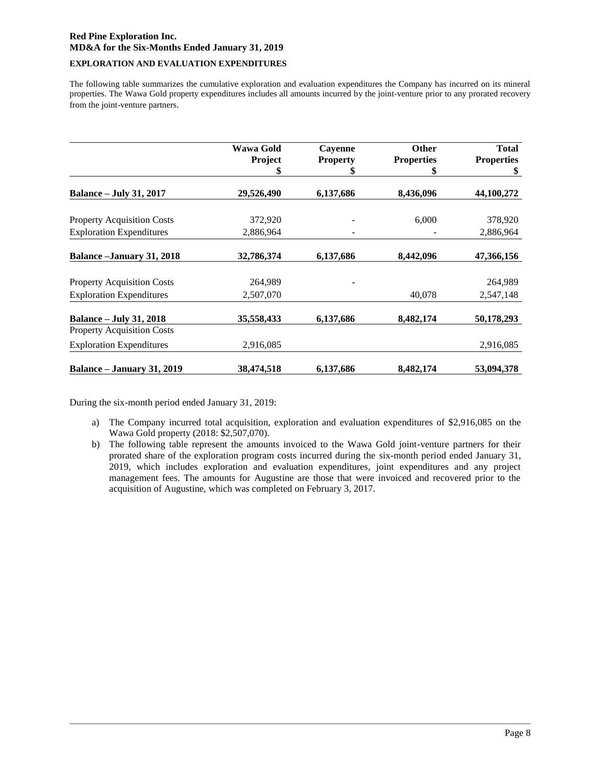## **EXPLORATION AND EVALUATION EXPENDITURES**

The following table summarizes the cumulative exploration and evaluation expenditures the Company has incurred on its mineral properties. The Wawa Gold property expenditures includes all amounts incurred by the joint-venture prior to any prorated recovery from the joint-venture partners.

|                                   | Wawa Gold  | Cayenne         | <b>Other</b>      | <b>Total</b>      |
|-----------------------------------|------------|-----------------|-------------------|-------------------|
|                                   | Project    | <b>Property</b> | <b>Properties</b> | <b>Properties</b> |
|                                   | \$         | \$              | \$                | \$                |
| <b>Balance - July 31, 2017</b>    | 29,526,490 | 6,137,686       | 8,436,096         | 44,100,272        |
| <b>Property Acquisition Costs</b> | 372,920    |                 | 6,000             | 378,920           |
| <b>Exploration Expenditures</b>   | 2,886,964  |                 |                   | 2,886,964         |
| <b>Balance - January 31, 2018</b> | 32,786,374 | 6,137,686       | 8,442,096         | 47,366,156        |
| <b>Property Acquisition Costs</b> | 264,989    |                 |                   | 264,989           |
| <b>Exploration Expenditures</b>   | 2,507,070  |                 | 40,078            | 2,547,148         |
| <b>Balance – July 31, 2018</b>    | 35,558,433 | 6,137,686       | 8,482,174         | 50,178,293        |
| <b>Property Acquisition Costs</b> |            |                 |                   |                   |
| <b>Exploration Expenditures</b>   | 2,916,085  |                 |                   | 2,916,085         |
| Balance - January 31, 2019        | 38,474,518 | 6,137,686       | 8,482,174         | 53,094,378        |

During the six-month period ended January 31, 2019:

- a) The Company incurred total acquisition, exploration and evaluation expenditures of \$2,916,085 on the Wawa Gold property (2018: \$2,507,070).
- b) The following table represent the amounts invoiced to the Wawa Gold joint-venture partners for their prorated share of the exploration program costs incurred during the six-month period ended January 31, 2019, which includes exploration and evaluation expenditures, joint expenditures and any project management fees. The amounts for Augustine are those that were invoiced and recovered prior to the acquisition of Augustine, which was completed on February 3, 2017.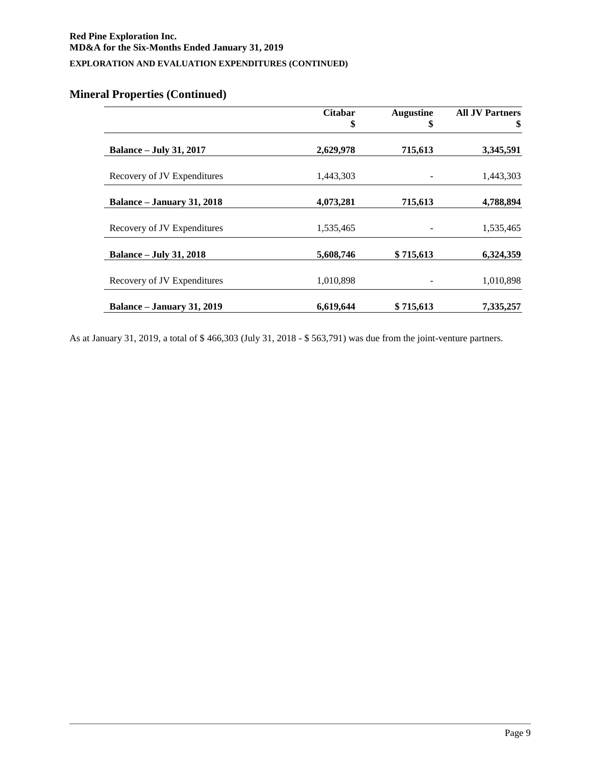# **EXPLORATION AND EVALUATION EXPENDITURES (CONTINUED)**

# **Mineral Properties (Continued)**

|                                   | <b>Citabar</b><br>\$ | <b>Augustine</b><br>\$ | <b>All JV Partners</b><br>\$ |
|-----------------------------------|----------------------|------------------------|------------------------------|
|                                   |                      |                        |                              |
| <b>Balance – July 31, 2017</b>    | 2,629,978            | 715,613                | 3,345,591                    |
| Recovery of JV Expenditures       | 1,443,303            |                        | 1,443,303                    |
| <b>Balance – January 31, 2018</b> | 4,073,281            | 715,613                | 4,788,894                    |
| Recovery of JV Expenditures       | 1.535.465            |                        | 1,535,465                    |
| <b>Balance – July 31, 2018</b>    | 5,608,746            | \$715,613              | 6,324,359                    |
| Recovery of JV Expenditures       | 1,010,898            |                        | 1,010,898                    |
| Balance – January 31, 2019        | 6.619.644            | \$715,613              | 7,335,257                    |

As at January 31, 2019, a total of \$ 466,303 (July 31, 2018 - \$ 563,791) was due from the joint-venture partners.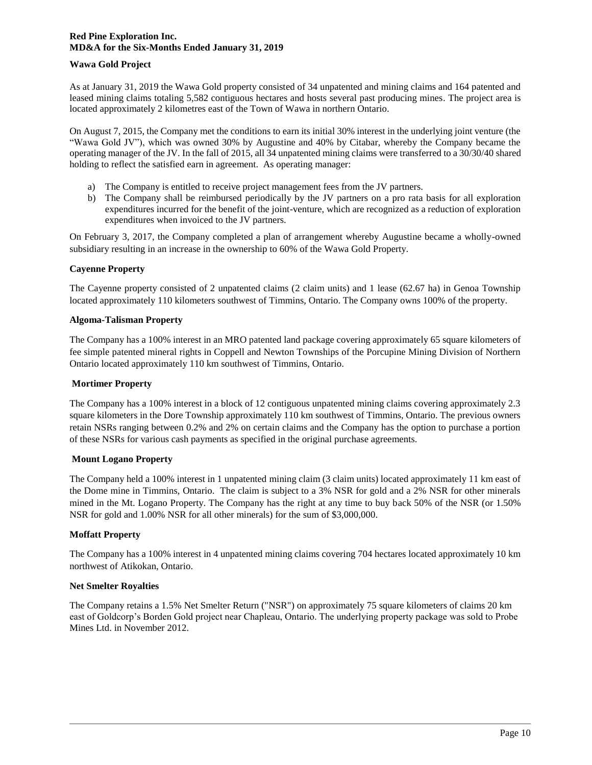# **Wawa Gold Project**

As at January 31, 2019 the Wawa Gold property consisted of 34 unpatented and mining claims and 164 patented and leased mining claims totaling 5,582 contiguous hectares and hosts several past producing mines. The project area is located approximately 2 kilometres east of the Town of Wawa in northern Ontario.

On August 7, 2015, the Company met the conditions to earn its initial 30% interest in the underlying joint venture (the "Wawa Gold JV"), which was owned 30% by Augustine and 40% by Citabar, whereby the Company became the operating manager of the JV. In the fall of 2015, all 34 unpatented mining claims were transferred to a 30/30/40 shared holding to reflect the satisfied earn in agreement. As operating manager:

- a) The Company is entitled to receive project management fees from the JV partners.
- b) The Company shall be reimbursed periodically by the JV partners on a pro rata basis for all exploration expenditures incurred for the benefit of the joint-venture, which are recognized as a reduction of exploration expenditures when invoiced to the JV partners.

On February 3, 2017, the Company completed a plan of arrangement whereby Augustine became a wholly-owned subsidiary resulting in an increase in the ownership to 60% of the Wawa Gold Property.

## **Cayenne Property**

The Cayenne property consisted of 2 unpatented claims (2 claim units) and 1 lease (62.67 ha) in Genoa Township located approximately 110 kilometers southwest of Timmins, Ontario. The Company owns 100% of the property.

## **Algoma-Talisman Property**

The Company has a 100% interest in an MRO patented land package covering approximately 65 square kilometers of fee simple patented mineral rights in Coppell and Newton Townships of the Porcupine Mining Division of Northern Ontario located approximately 110 km southwest of Timmins, Ontario.

## **Mortimer Property**

The Company has a 100% interest in a block of 12 contiguous unpatented mining claims covering approximately 2.3 square kilometers in the Dore Township approximately 110 km southwest of Timmins, Ontario. The previous owners retain NSRs ranging between 0.2% and 2% on certain claims and the Company has the option to purchase a portion of these NSRs for various cash payments as specified in the original purchase agreements.

## **Mount Logano Property**

The Company held a 100% interest in 1 unpatented mining claim (3 claim units) located approximately 11 km east of the Dome mine in Timmins, Ontario. The claim is subject to a 3% NSR for gold and a 2% NSR for other minerals mined in the Mt. Logano Property. The Company has the right at any time to buy back 50% of the NSR (or 1.50% NSR for gold and 1.00% NSR for all other minerals) for the sum of \$3,000,000.

# **Moffatt Property**

The Company has a 100% interest in 4 unpatented mining claims covering 704 hectares located approximately 10 km northwest of Atikokan, Ontario.

## **Net Smelter Royalties**

The Company retains a 1.5% Net Smelter Return ("NSR") on approximately 75 square kilometers of claims 20 km east of Goldcorp's Borden Gold project near Chapleau, Ontario. The underlying property package was sold to Probe Mines Ltd. in November 2012.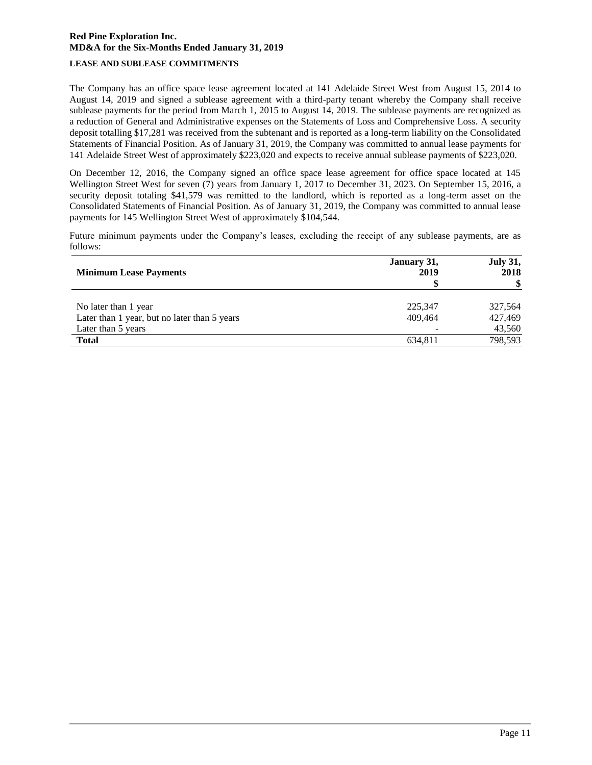## **LEASE AND SUBLEASE COMMITMENTS**

The Company has an office space lease agreement located at 141 Adelaide Street West from August 15, 2014 to August 14, 2019 and signed a sublease agreement with a third-party tenant whereby the Company shall receive sublease payments for the period from March 1, 2015 to August 14, 2019. The sublease payments are recognized as a reduction of General and Administrative expenses on the Statements of Loss and Comprehensive Loss. A security deposit totalling \$17,281 was received from the subtenant and is reported as a long-term liability on the Consolidated Statements of Financial Position. As of January 31, 2019, the Company was committed to annual lease payments for 141 Adelaide Street West of approximately \$223,020 and expects to receive annual sublease payments of \$223,020.

On December 12, 2016, the Company signed an office space lease agreement for office space located at 145 Wellington Street West for seven (7) years from January 1, 2017 to December 31, 2023. On September 15, 2016, a security deposit totaling \$41,579 was remitted to the landlord, which is reported as a long-term asset on the Consolidated Statements of Financial Position. As of January 31, 2019, the Company was committed to annual lease payments for 145 Wellington Street West of approximately \$104,544.

Future minimum payments under the Company's leases, excluding the receipt of any sublease payments, are as follows:

| <b>Minimum Lease Payments</b>                | January 31,<br>2019          | <b>July 31,</b><br>2018 |
|----------------------------------------------|------------------------------|-------------------------|
| No later than 1 year                         | 225,347                      | 327.564                 |
| Later than 1 year, but no later than 5 years | 409,464                      | 427,469                 |
| Later than 5 years                           | $\qquad \qquad \blacksquare$ | 43,560                  |
| <b>Total</b>                                 | 634,811                      | 798,593                 |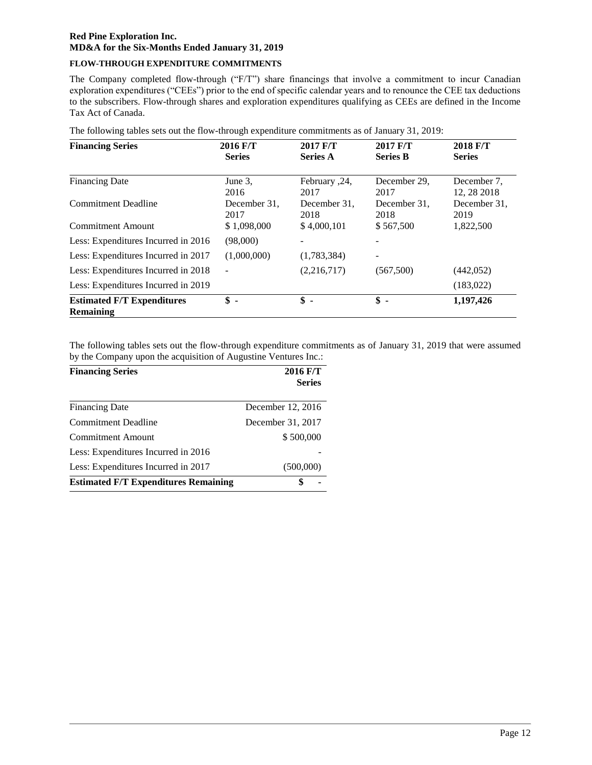# **FLOW-THROUGH EXPENDITURE COMMITMENTS**

The Company completed flow-through ("F/T") share financings that involve a commitment to incur Canadian exploration expenditures ("CEEs") prior to the end of specific calendar years and to renounce the CEE tax deductions to the subscribers. Flow-through shares and exploration expenditures qualifying as CEEs are defined in the Income Tax Act of Canada.

| <b>Financing Series</b>                               | 2016 F/T             | 2017 F/T        | 2017 F/T             | 2018 F/T      |
|-------------------------------------------------------|----------------------|-----------------|----------------------|---------------|
|                                                       | <b>Series</b>        | <b>Series A</b> | <b>Series B</b>      | <b>Series</b> |
| <b>Financing Date</b>                                 | June 3.              | ,24, February   | December 29.         | December 7,   |
|                                                       | 2016                 | 2017            | 2017                 | 12, 28 2018   |
| <b>Commitment Deadline</b>                            | December 31.         | December 31.    | December 31.         | December 31,  |
|                                                       | 2017                 | 2018            | 2018                 | 2019          |
| <b>Commitment Amount</b>                              | \$1,098,000          | \$4,000,101     | \$567,500            | 1,822,500     |
| Less: Expenditures Incurred in 2016                   | (98,000)             |                 |                      |               |
| Less: Expenditures Incurred in 2017                   | (1,000,000)          | (1,783,384)     | -                    |               |
| Less: Expenditures Incurred in 2018                   |                      | (2,216,717)     | (567,500)            | (442,052)     |
| Less: Expenditures Incurred in 2019                   |                      |                 |                      | (183, 022)    |
| <b>Estimated F/T Expenditures</b><br><b>Remaining</b> | \$<br>$\blacksquare$ | $\mathbf s$ .   | \$<br>$\blacksquare$ | 1,197,426     |

The following tables sets out the flow-through expenditure commitments as of January 31, 2019:

The following tables sets out the flow-through expenditure commitments as of January 31, 2019 that were assumed by the Company upon the acquisition of Augustine Ventures Inc.:

| <b>Financing Series</b>                     | 2016 F/T<br><b>Series</b> |
|---------------------------------------------|---------------------------|
| <b>Financing Date</b>                       | December 12, 2016         |
| <b>Commitment Deadline</b>                  | December 31, 2017         |
| <b>Commitment Amount</b>                    | \$500,000                 |
| Less: Expenditures Incurred in 2016         |                           |
| Less: Expenditures Incurred in 2017         | (500,000)                 |
| <b>Estimated F/T Expenditures Remaining</b> | \$                        |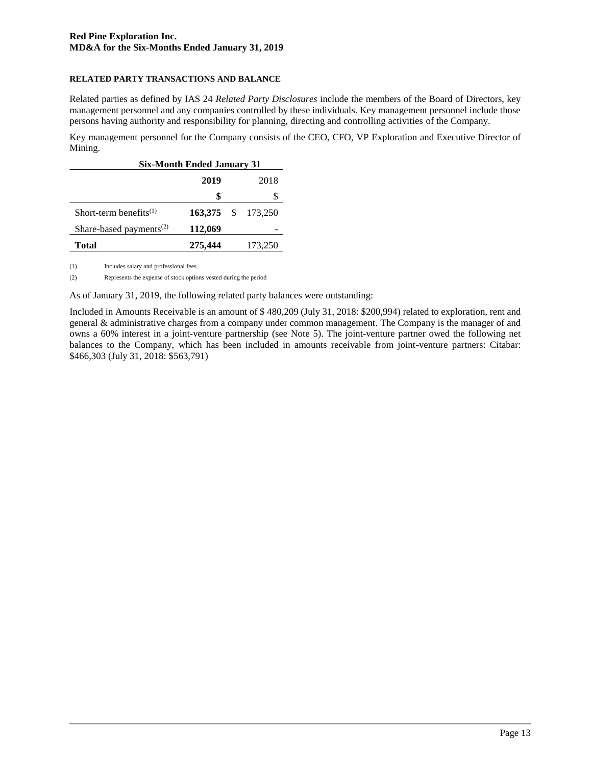## **RELATED PARTY TRANSACTIONS AND BALANCE**

Related parties as defined by IAS 24 *Related Party Disclosures* include the members of the Board of Directors, key management personnel and any companies controlled by these individuals. Key management personnel include those persons having authority and responsibility for planning, directing and controlling activities of the Company.

Key management personnel for the Company consists of the CEO, CFO, VP Exploration and Executive Director of Mining.

| <b>Six-Month Ended January 31</b>                |         |  |                    |
|--------------------------------------------------|---------|--|--------------------|
|                                                  | 2019    |  | 2018               |
|                                                  | S       |  |                    |
| Short-term benefits $^{(1)}$                     |         |  | 163,375 \$ 173,250 |
| Share-based payments <sup><math>(2)</math></sup> | 112,069 |  |                    |
| Total                                            | 275,444 |  | 173,250            |

(1) Includes salary and professional fees.

(2) Represents the expense of stock options vested during the period

As of January 31, 2019, the following related party balances were outstanding:

Included in Amounts Receivable is an amount of \$ 480,209 (July 31, 2018: \$200,994) related to exploration, rent and general & administrative charges from a company under common management. The Company is the manager of and owns a 60% interest in a joint-venture partnership (see Note 5). The joint-venture partner owed the following net balances to the Company, which has been included in amounts receivable from joint-venture partners: Citabar: \$466,303 (July 31, 2018: \$563,791)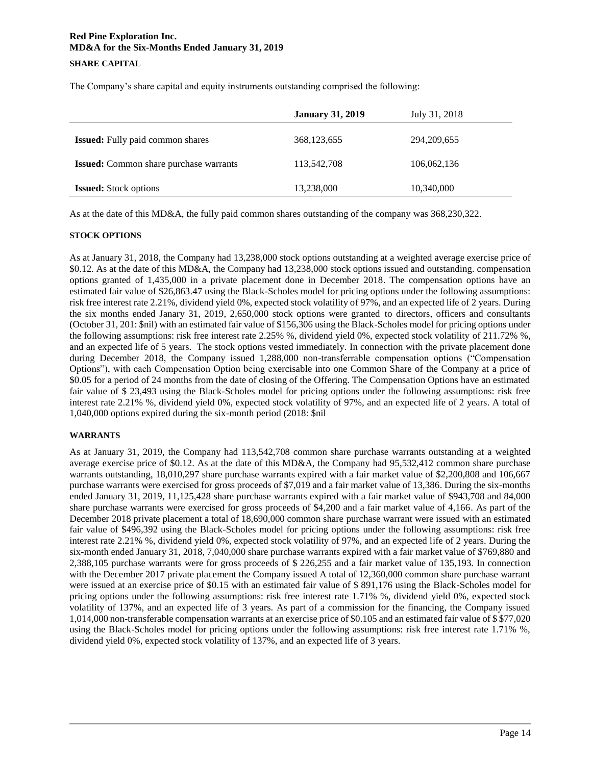# **SHARE CAPITAL**

The Company's share capital and equity instruments outstanding comprised the following:

|                                               | <b>January 31, 2019</b> | July 31, 2018 |
|-----------------------------------------------|-------------------------|---------------|
| <b>Issued:</b> Fully paid common shares       | 368, 123, 655           | 294, 209, 655 |
| <b>Issued:</b> Common share purchase warrants | 113,542,708             | 106,062,136   |
| <b>Issued:</b> Stock options                  | 13,238,000              | 10,340,000    |

As at the date of this MD&A, the fully paid common shares outstanding of the company was 368,230,322.

## **STOCK OPTIONS**

As at January 31, 2018, the Company had 13,238,000 stock options outstanding at a weighted average exercise price of \$0.12. As at the date of this MD&A, the Company had 13,238,000 stock options issued and outstanding. compensation options granted of 1,435,000 in a private placement done in December 2018. The compensation options have an estimated fair value of \$26,863.47 using the Black-Scholes model for pricing options under the following assumptions: risk free interest rate 2.21%, dividend yield 0%, expected stock volatility of 97%, and an expected life of 2 years. During the six months ended Janary 31, 2019, 2,650,000 stock options were granted to directors, officers and consultants (October 31, 201: \$nil) with an estimated fair value of \$156,306 using the Black-Scholes model for pricing options under the following assumptions: risk free interest rate 2.25% %, dividend yield 0%, expected stock volatility of 211.72% %, and an expected life of 5 years. The stock options vested immediately. In connection with the private placement done during December 2018, the Company issued 1,288,000 non-transferrable compensation options ("Compensation Options"), with each Compensation Option being exercisable into one Common Share of the Company at a price of \$0.05 for a period of 24 months from the date of closing of the Offering. The Compensation Options have an estimated fair value of \$ 23,493 using the Black-Scholes model for pricing options under the following assumptions: risk free interest rate 2.21% %, dividend yield 0%, expected stock volatility of 97%, and an expected life of 2 years. A total of 1,040,000 options expired during the six-month period (2018: \$nil

## **WARRANTS**

As at January 31, 2019, the Company had 113,542,708 common share purchase warrants outstanding at a weighted average exercise price of \$0.12. As at the date of this MD&A, the Company had 95,532,412 common share purchase warrants outstanding, 18,010,297 share purchase warrants expired with a fair market value of \$2,200,808 and 106,667 purchase warrants were exercised for gross proceeds of \$7,019 and a fair market value of 13,386. During the six-months ended January 31, 2019, 11,125,428 share purchase warrants expired with a fair market value of \$943,708 and 84,000 share purchase warrants were exercised for gross proceeds of \$4,200 and a fair market value of 4,166. As part of the December 2018 private placement a total of 18,690,000 common share purchase warrant were issued with an estimated fair value of \$496,392 using the Black-Scholes model for pricing options under the following assumptions: risk free interest rate 2.21% %, dividend yield 0%, expected stock volatility of 97%, and an expected life of 2 years. During the six-month ended January 31, 2018, 7,040,000 share purchase warrants expired with a fair market value of \$769,880 and 2,388,105 purchase warrants were for gross proceeds of \$ 226,255 and a fair market value of 135,193. In connection with the December 2017 private placement the Company issued A total of 12,360,000 common share purchase warrant were issued at an exercise price of \$0.15 with an estimated fair value of \$ 891,176 using the Black-Scholes model for pricing options under the following assumptions: risk free interest rate 1.71% %, dividend yield 0%, expected stock volatility of 137%, and an expected life of 3 years. As part of a commission for the financing, the Company issued 1,014,000 non-transferable compensation warrants at an exercise price of \$0.105 and an estimated fair value of \$ \$77,020 using the Black-Scholes model for pricing options under the following assumptions: risk free interest rate 1.71% %, dividend yield 0%, expected stock volatility of 137%, and an expected life of 3 years.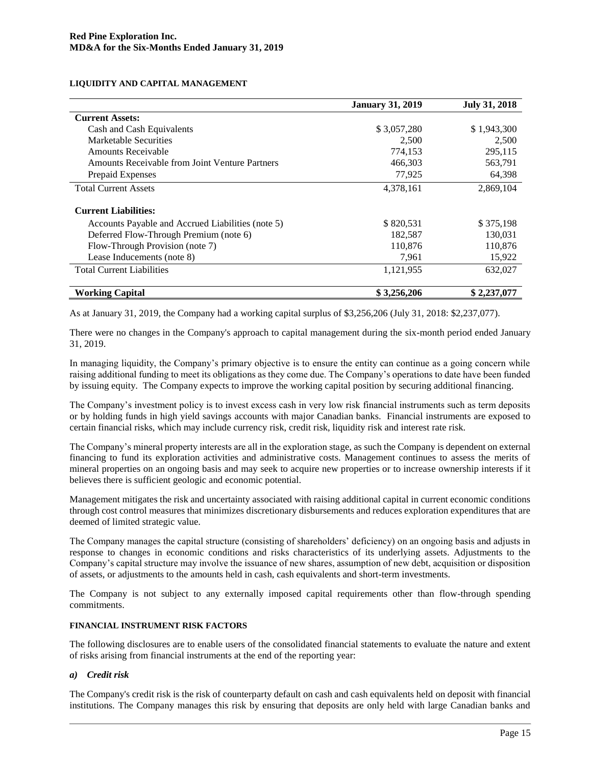### **LIQUIDITY AND CAPITAL MANAGEMENT**

|                                                   | <b>January 31, 2019</b> | <b>July 31, 2018</b> |
|---------------------------------------------------|-------------------------|----------------------|
| <b>Current Assets:</b>                            |                         |                      |
| Cash and Cash Equivalents                         | \$3,057,280             | \$1,943,300          |
| Marketable Securities                             | 2,500                   | 2,500                |
| Amounts Receivable                                | 774,153                 | 295,115              |
| Amounts Receivable from Joint Venture Partners    | 466,303                 | 563,791              |
| Prepaid Expenses                                  | 77,925                  | 64,398               |
| <b>Total Current Assets</b>                       | 4,378,161               | 2,869,104            |
| <b>Current Liabilities:</b>                       |                         |                      |
| Accounts Payable and Accrued Liabilities (note 5) | \$820,531               | \$375,198            |
| Deferred Flow-Through Premium (note 6)            | 182,587                 | 130,031              |
| Flow-Through Provision (note 7)                   | 110,876                 | 110,876              |
| Lease Inducements (note 8)                        | 7,961                   | 15,922               |
| <b>Total Current Liabilities</b>                  | 1,121,955               | 632,027              |
| <b>Working Capital</b>                            | \$3,256,206             | \$2,237,077          |

As at January 31, 2019, the Company had a working capital surplus of \$3,256,206 (July 31, 2018: \$2,237,077).

There were no changes in the Company's approach to capital management during the six-month period ended January 31, 2019.

In managing liquidity, the Company's primary objective is to ensure the entity can continue as a going concern while raising additional funding to meet its obligations as they come due. The Company's operations to date have been funded by issuing equity. The Company expects to improve the working capital position by securing additional financing.

The Company's investment policy is to invest excess cash in very low risk financial instruments such as term deposits or by holding funds in high yield savings accounts with major Canadian banks. Financial instruments are exposed to certain financial risks, which may include currency risk, credit risk, liquidity risk and interest rate risk.

The Company's mineral property interests are all in the exploration stage, as such the Company is dependent on external financing to fund its exploration activities and administrative costs. Management continues to assess the merits of mineral properties on an ongoing basis and may seek to acquire new properties or to increase ownership interests if it believes there is sufficient geologic and economic potential.

Management mitigates the risk and uncertainty associated with raising additional capital in current economic conditions through cost control measures that minimizes discretionary disbursements and reduces exploration expenditures that are deemed of limited strategic value.

The Company manages the capital structure (consisting of shareholders' deficiency) on an ongoing basis and adjusts in response to changes in economic conditions and risks characteristics of its underlying assets. Adjustments to the Company's capital structure may involve the issuance of new shares, assumption of new debt, acquisition or disposition of assets, or adjustments to the amounts held in cash, cash equivalents and short-term investments.

The Company is not subject to any externally imposed capital requirements other than flow-through spending commitments.

## **FINANCIAL INSTRUMENT RISK FACTORS**

The following disclosures are to enable users of the consolidated financial statements to evaluate the nature and extent of risks arising from financial instruments at the end of the reporting year:

## *a) Credit risk*

The Company's credit risk is the risk of counterparty default on cash and cash equivalents held on deposit with financial institutions. The Company manages this risk by ensuring that deposits are only held with large Canadian banks and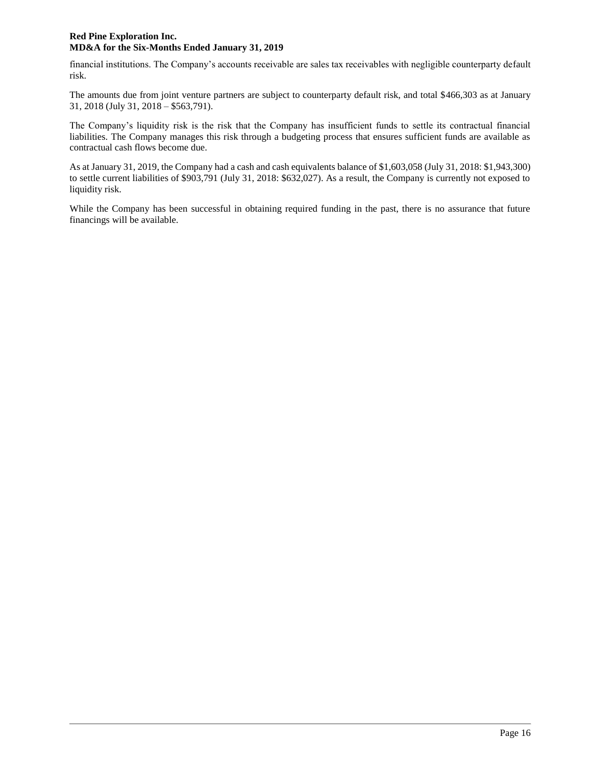financial institutions. The Company's accounts receivable are sales tax receivables with negligible counterparty default risk.

The amounts due from joint venture partners are subject to counterparty default risk, and total \$466,303 as at January 31, 2018 (July 31, 2018 – \$563,791).

The Company's liquidity risk is the risk that the Company has insufficient funds to settle its contractual financial liabilities. The Company manages this risk through a budgeting process that ensures sufficient funds are available as contractual cash flows become due.

As at January 31, 2019, the Company had a cash and cash equivalents balance of \$1,603,058 (July 31, 2018: \$1,943,300) to settle current liabilities of \$903,791 (July 31, 2018: \$632,027). As a result, the Company is currently not exposed to liquidity risk.

While the Company has been successful in obtaining required funding in the past, there is no assurance that future financings will be available.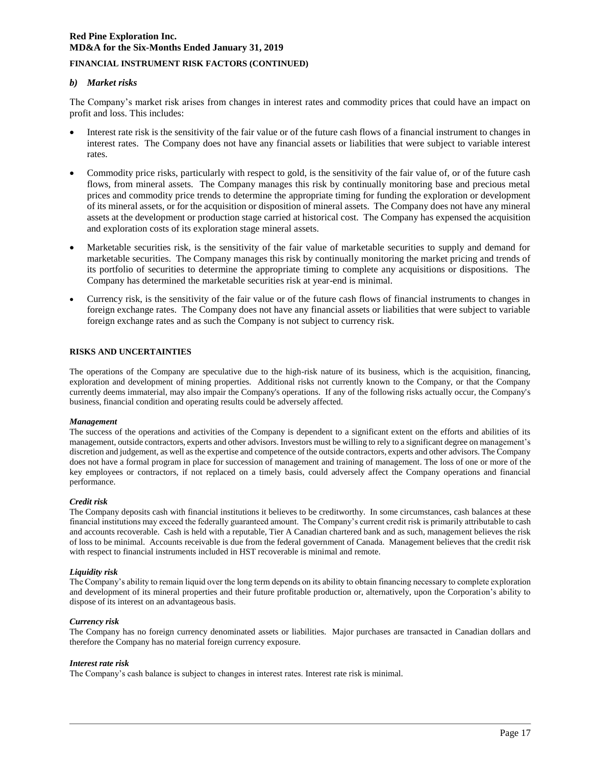## **FINANCIAL INSTRUMENT RISK FACTORS (CONTINUED)**

## *b) Market risks*

The Company's market risk arises from changes in interest rates and commodity prices that could have an impact on profit and loss. This includes:

- Interest rate risk is the sensitivity of the fair value or of the future cash flows of a financial instrument to changes in interest rates. The Company does not have any financial assets or liabilities that were subject to variable interest rates.
- Commodity price risks, particularly with respect to gold, is the sensitivity of the fair value of, or of the future cash flows, from mineral assets. The Company manages this risk by continually monitoring base and precious metal prices and commodity price trends to determine the appropriate timing for funding the exploration or development of its mineral assets, or for the acquisition or disposition of mineral assets. The Company does not have any mineral assets at the development or production stage carried at historical cost. The Company has expensed the acquisition and exploration costs of its exploration stage mineral assets.
- Marketable securities risk, is the sensitivity of the fair value of marketable securities to supply and demand for marketable securities. The Company manages this risk by continually monitoring the market pricing and trends of its portfolio of securities to determine the appropriate timing to complete any acquisitions or dispositions. The Company has determined the marketable securities risk at year-end is minimal.
- Currency risk, is the sensitivity of the fair value or of the future cash flows of financial instruments to changes in foreign exchange rates. The Company does not have any financial assets or liabilities that were subject to variable foreign exchange rates and as such the Company is not subject to currency risk.

### **RISKS AND UNCERTAINTIES**

The operations of the Company are speculative due to the high-risk nature of its business, which is the acquisition, financing, exploration and development of mining properties. Additional risks not currently known to the Company, or that the Company currently deems immaterial, may also impair the Company's operations. If any of the following risks actually occur, the Company's business, financial condition and operating results could be adversely affected.

#### *Management*

The success of the operations and activities of the Company is dependent to a significant extent on the efforts and abilities of its management, outside contractors, experts and other advisors. Investors must be willing to rely to a significant degree on management's discretion and judgement, as well as the expertise and competence of the outside contractors, experts and other advisors. The Company does not have a formal program in place for succession of management and training of management. The loss of one or more of the key employees or contractors, if not replaced on a timely basis, could adversely affect the Company operations and financial performance.

#### *Credit risk*

The Company deposits cash with financial institutions it believes to be creditworthy. In some circumstances, cash balances at these financial institutions may exceed the federally guaranteed amount. The Company's current credit risk is primarily attributable to cash and accounts recoverable. Cash is held with a reputable, Tier A Canadian chartered bank and as such, management believes the risk of loss to be minimal. Accounts receivable is due from the federal government of Canada. Management believes that the credit risk with respect to financial instruments included in HST recoverable is minimal and remote.

#### *Liquidity risk*

The Company's ability to remain liquid over the long term depends on its ability to obtain financing necessary to complete exploration and development of its mineral properties and their future profitable production or, alternatively, upon the Corporation's ability to dispose of its interest on an advantageous basis.

#### *Currency risk*

The Company has no foreign currency denominated assets or liabilities. Major purchases are transacted in Canadian dollars and therefore the Company has no material foreign currency exposure.

#### *Interest rate risk*

The Company's cash balance is subject to changes in interest rates. Interest rate risk is minimal.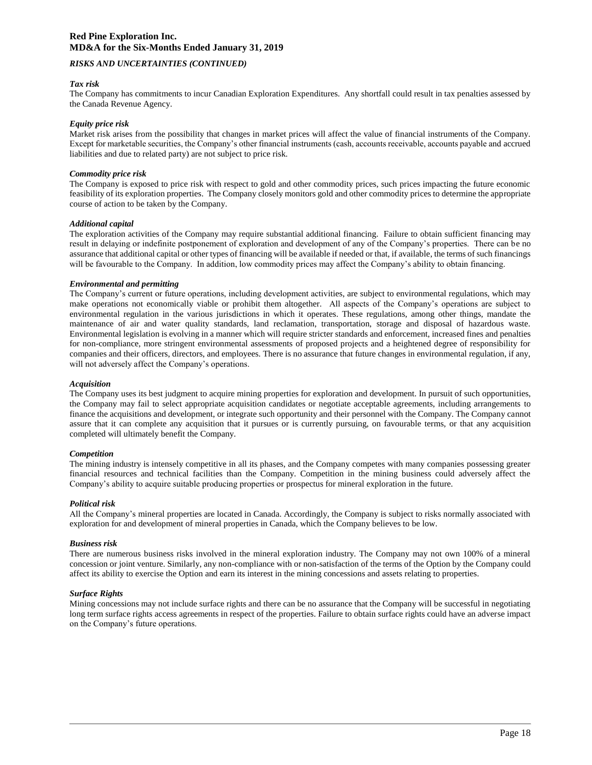### *RISKS AND UNCERTAINTIES (CONTINUED)*

#### *Tax risk*

The Company has commitments to incur Canadian Exploration Expenditures. Any shortfall could result in tax penalties assessed by the Canada Revenue Agency.

#### *Equity price risk*

Market risk arises from the possibility that changes in market prices will affect the value of financial instruments of the Company. Except for marketable securities, the Company's other financial instruments (cash, accounts receivable, accounts payable and accrued liabilities and due to related party) are not subject to price risk.

#### *Commodity price risk*

The Company is exposed to price risk with respect to gold and other commodity prices, such prices impacting the future economic feasibility of its exploration properties. The Company closely monitors gold and other commodity prices to determine the appropriate course of action to be taken by the Company.

#### *Additional capital*

The exploration activities of the Company may require substantial additional financing. Failure to obtain sufficient financing may result in delaying or indefinite postponement of exploration and development of any of the Company's properties. There can be no assurance that additional capital or other types of financing will be available if needed or that, if available, the terms of such financings will be favourable to the Company. In addition, low commodity prices may affect the Company's ability to obtain financing.

#### *Environmental and permitting*

The Company's current or future operations, including development activities, are subject to environmental regulations, which may make operations not economically viable or prohibit them altogether. All aspects of the Company's operations are subject to environmental regulation in the various jurisdictions in which it operates. These regulations, among other things, mandate the maintenance of air and water quality standards, land reclamation, transportation, storage and disposal of hazardous waste. Environmental legislation is evolving in a manner which will require stricter standards and enforcement, increased fines and penalties for non-compliance, more stringent environmental assessments of proposed projects and a heightened degree of responsibility for companies and their officers, directors, and employees. There is no assurance that future changes in environmental regulation, if any, will not adversely affect the Company's operations.

#### *Acquisition*

The Company uses its best judgment to acquire mining properties for exploration and development. In pursuit of such opportunities, the Company may fail to select appropriate acquisition candidates or negotiate acceptable agreements, including arrangements to finance the acquisitions and development, or integrate such opportunity and their personnel with the Company. The Company cannot assure that it can complete any acquisition that it pursues or is currently pursuing, on favourable terms, or that any acquisition completed will ultimately benefit the Company.

#### *Competition*

The mining industry is intensely competitive in all its phases, and the Company competes with many companies possessing greater financial resources and technical facilities than the Company. Competition in the mining business could adversely affect the Company's ability to acquire suitable producing properties or prospectus for mineral exploration in the future.

#### *Political risk*

All the Company's mineral properties are located in Canada. Accordingly, the Company is subject to risks normally associated with exploration for and development of mineral properties in Canada, which the Company believes to be low.

#### *Business risk*

There are numerous business risks involved in the mineral exploration industry. The Company may not own 100% of a mineral concession or joint venture. Similarly, any non-compliance with or non-satisfaction of the terms of the Option by the Company could affect its ability to exercise the Option and earn its interest in the mining concessions and assets relating to properties.

#### *Surface Rights*

Mining concessions may not include surface rights and there can be no assurance that the Company will be successful in negotiating long term surface rights access agreements in respect of the properties. Failure to obtain surface rights could have an adverse impact on the Company's future operations.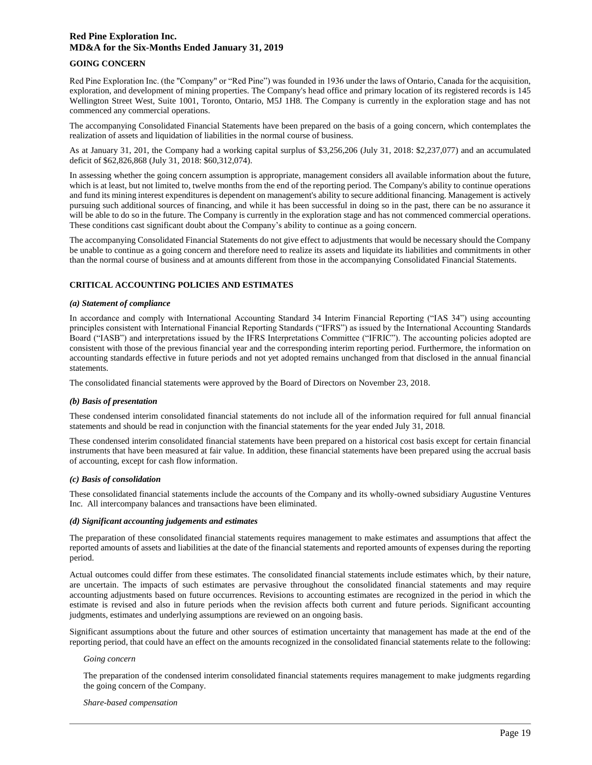#### **GOING CONCERN**

Red Pine Exploration Inc. (the "Company" or "Red Pine") was founded in 1936 under the laws of Ontario, Canada for the acquisition, exploration, and development of mining properties. The Company's head office and primary location of its registered records is 145 Wellington Street West, Suite 1001, Toronto, Ontario, M5J 1H8. The Company is currently in the exploration stage and has not commenced any commercial operations.

The accompanying Consolidated Financial Statements have been prepared on the basis of a going concern, which contemplates the realization of assets and liquidation of liabilities in the normal course of business.

As at January 31, 201, the Company had a working capital surplus of \$3,256,206 (July 31, 2018: \$2,237,077) and an accumulated deficit of \$62,826,868 (July 31, 2018: \$60,312,074).

In assessing whether the going concern assumption is appropriate, management considers all available information about the future, which is at least, but not limited to, twelve months from the end of the reporting period. The Company's ability to continue operations and fund its mining interest expenditures is dependent on management's ability to secure additional financing. Management is actively pursuing such additional sources of financing, and while it has been successful in doing so in the past, there can be no assurance it will be able to do so in the future. The Company is currently in the exploration stage and has not commenced commercial operations. These conditions cast significant doubt about the Company's ability to continue as a going concern.

The accompanying Consolidated Financial Statements do not give effect to adjustments that would be necessary should the Company be unable to continue as a going concern and therefore need to realize its assets and liquidate its liabilities and commitments in other than the normal course of business and at amounts different from those in the accompanying Consolidated Financial Statements.

#### **CRITICAL ACCOUNTING POLICIES AND ESTIMATES**

#### *(a) Statement of compliance*

In accordance and comply with International Accounting Standard 34 Interim Financial Reporting ("IAS 34") using accounting principles consistent with International Financial Reporting Standards ("IFRS") as issued by the International Accounting Standards Board ("IASB") and interpretations issued by the IFRS Interpretations Committee ("IFRIC"). The accounting policies adopted are consistent with those of the previous financial year and the corresponding interim reporting period. Furthermore, the information on accounting standards effective in future periods and not yet adopted remains unchanged from that disclosed in the annual financial statements.

The consolidated financial statements were approved by the Board of Directors on November 23, 2018.

#### *(b) Basis of presentation*

These condensed interim consolidated financial statements do not include all of the information required for full annual financial statements and should be read in conjunction with the financial statements for the year ended July 31, 2018.

These condensed interim consolidated financial statements have been prepared on a historical cost basis except for certain financial instruments that have been measured at fair value. In addition, these financial statements have been prepared using the accrual basis of accounting, except for cash flow information.

#### *(c) Basis of consolidation*

These consolidated financial statements include the accounts of the Company and its wholly-owned subsidiary Augustine Ventures Inc. All intercompany balances and transactions have been eliminated.

#### *(d) Significant accounting judgements and estimates*

The preparation of these consolidated financial statements requires management to make estimates and assumptions that affect the reported amounts of assets and liabilities at the date of the financial statements and reported amounts of expenses during the reporting period.

Actual outcomes could differ from these estimates. The consolidated financial statements include estimates which, by their nature, are uncertain. The impacts of such estimates are pervasive throughout the consolidated financial statements and may require accounting adjustments based on future occurrences. Revisions to accounting estimates are recognized in the period in which the estimate is revised and also in future periods when the revision affects both current and future periods. Significant accounting judgments, estimates and underlying assumptions are reviewed on an ongoing basis.

Significant assumptions about the future and other sources of estimation uncertainty that management has made at the end of the reporting period, that could have an effect on the amounts recognized in the consolidated financial statements relate to the following:

#### *Going concern*

The preparation of the condensed interim consolidated financial statements requires management to make judgments regarding the going concern of the Company.

#### *Share-based compensation*